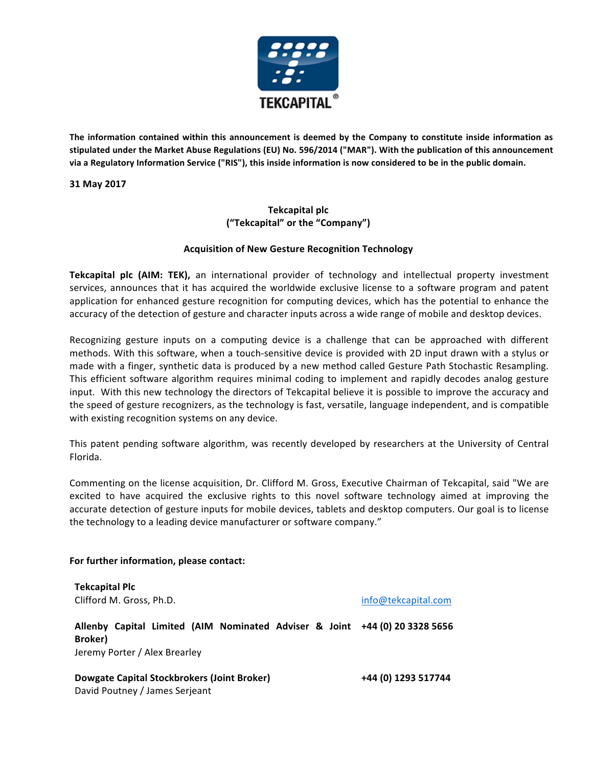

The information contained within this announcement is deemed by the Company to constitute inside information as stipulated under the Market Abuse Regulations (EU) No. 596/2014 ("MAR"). With the publication of this announcement via a Regulatory Information Service ("RIS"), this inside information is now considered to be in the public domain.

**31 May 2017**

## **Tekcapital plc ("Tekcapital" or the "Company")**

## **Acquisition of New Gesture Recognition Technology**

**Tekcapital plc (AIM: TEK),** an international provider of technology and intellectual property investment services, announces that it has acquired the worldwide exclusive license to a software program and patent application for enhanced gesture recognition for computing devices, which has the potential to enhance the accuracy of the detection of gesture and character inputs across a wide range of mobile and desktop devices.

Recognizing gesture inputs on a computing device is a challenge that can be approached with different methods. With this software, when a touch-sensitive device is provided with 2D input drawn with a stylus or made with a finger, synthetic data is produced by a new method called Gesture Path Stochastic Resampling. This efficient software algorithm requires minimal coding to implement and rapidly decodes analog gesture input. With this new technology the directors of Tekcapital believe it is possible to improve the accuracy and the speed of gesture recognizers, as the technology is fast, versatile, language independent, and is compatible with existing recognition systems on any device.

This patent pending software algorithm, was recently developed by researchers at the University of Central Florida.

Commenting on the license acquisition, Dr. Clifford M. Gross, Executive Chairman of Tekcapital, said "We are excited to have acquired the exclusive rights to this novel software technology aimed at improving the accurate detection of gesture inputs for mobile devices, tablets and desktop computers. Our goal is to license the technology to a leading device manufacturer or software company."

## For further information, please contact:

**Tekcapital Plc** Clifford M. Gross, Ph.D. info@tekcapital.com

**Allenby Capital Limited (AIM Nominated Adviser & Joint +44 (0) 20 3328 5656 Broker)** Jeremy Porter / Alex Brearley

**Dowgate Capital Stockbrokers (Joint Broker)** +44 (0) 1293 517744 David Poutney / James Serjeant